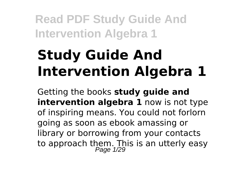# **Study Guide And Intervention Algebra 1**

Getting the books **study guide and intervention algebra 1** now is not type of inspiring means. You could not forlorn going as soon as ebook amassing or library or borrowing from your contacts to approach them. This is an utterly easy<br>Page 1/29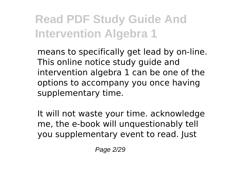means to specifically get lead by on-line. This online notice study guide and intervention algebra 1 can be one of the options to accompany you once having supplementary time.

It will not waste your time. acknowledge me, the e-book will unquestionably tell you supplementary event to read. Just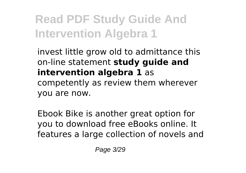invest little grow old to admittance this on-line statement **study guide and intervention algebra 1** as competently as review them wherever you are now.

Ebook Bike is another great option for you to download free eBooks online. It features a large collection of novels and

Page 3/29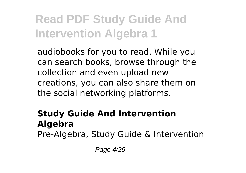audiobooks for you to read. While you can search books, browse through the collection and even upload new creations, you can also share them on the social networking platforms.

#### **Study Guide And Intervention Algebra** Pre-Algebra, Study Guide & Intervention

Page 4/29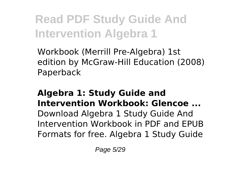Workbook (Merrill Pre-Algebra) 1st edition by McGraw-Hill Education (2008) Paperback

### **Algebra 1: Study Guide and Intervention Workbook: Glencoe ...**

Download Algebra 1 Study Guide And Intervention Workbook in PDF and EPUB Formats for free. Algebra 1 Study Guide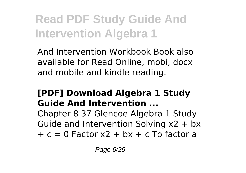And Intervention Workbook Book also available for Read Online, mobi, docx and mobile and kindle reading.

#### **[PDF] Download Algebra 1 Study Guide And Intervention ...**

Chapter 8 37 Glencoe Algebra 1 Study Guide and Intervention Solving x2 + bx  $+ c = 0$  Factor x $2 + bx + c$  To factor a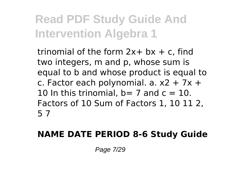trinomial of the form  $2x + bx + c$ , find two integers, m and p, whose sum is equal to b and whose product is equal to c. Factor each polynomial. a.  $x^2 + 7x +$ 10 In this trinomial,  $b= 7$  and  $c = 10$ . Factors of 10 Sum of Factors 1, 10 11 2, 5 7

### **NAME DATE PERIOD 8-6 Study Guide**

Page 7/29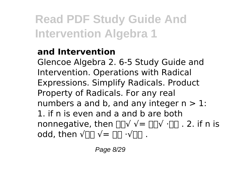### **and Intervention**

Glencoe Algebra 2. 6-5 Study Guide and Intervention. Operations with Radical Expressions. Simplify Radicals. Product Property of Radicals. For any real numbers a and b, and any integer  $n > 1$ : 1. if n is even and a and b are both nonnegative, then  $\Box \Box \lor \lor = \Box \Box \lor \Box \Box$ . 2. if n is odd, then  $\sqrt{u} \sqrt{v} = \sqrt{v} \sqrt{v} \sqrt{v}$ .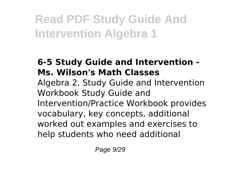#### **6-5 Study Guide and Intervention - Ms. Wilson's Math Classes**

Algebra 2, Study Guide and Intervention Workbook Study Guide and Intervention/Practice Workbook provides vocabulary, key concepts, additional worked out examples and exercises to help students who need additional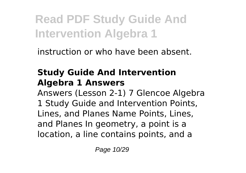instruction or who have been absent.

#### **Study Guide And Intervention Algebra 1 Answers**

Answers (Lesson 2-1) 7 Glencoe Algebra 1 Study Guide and Intervention Points, Lines, and Planes Name Points, Lines, and Planes In geometry, a point is a location, a line contains points, and a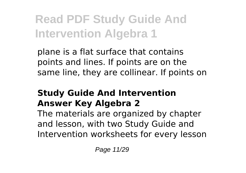plane is a flat surface that contains points and lines. If points are on the same line, they are collinear. If points on

#### **Study Guide And Intervention Answer Key Algebra 2**

The materials are organized by chapter and lesson, with two Study Guide and Intervention worksheets for every lesson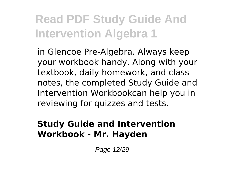in Glencoe Pre-Algebra. Always keep your workbook handy. Along with your textbook, daily homework, and class notes, the completed Study Guide and Intervention Workbookcan help you in reviewing for quizzes and tests.

#### **Study Guide and Intervention Workbook - Mr. Hayden**

Page 12/29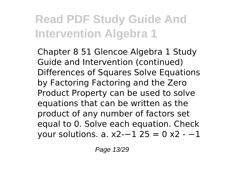Chapter 8 51 Glencoe Algebra 1 Study Guide and Intervention (continued) Differences of Squares Solve Equations by Factoring Factoring and the Zero Product Property can be used to solve equations that can be written as the product of any number of factors set equal to 0. Solve each equation. Check your solutions. a. x2-−1 25 = 0 x2 - −1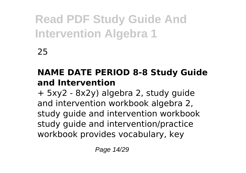25

### **NAME DATE PERIOD 8-8 Study Guide and Intervention**

+ 5xy2 - 8x2y) algebra 2, study guide and intervention workbook algebra 2, study guide and intervention workbook study guide and intervention/practice workbook provides vocabulary, key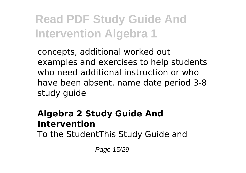concepts, additional worked out examples and exercises to help students who need additional instruction or who have been absent. name date period 3-8 study guide

#### **Algebra 2 Study Guide And Intervention**

To the StudentThis Study Guide and

Page 15/29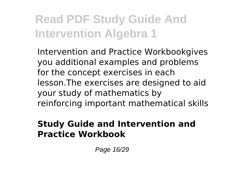Intervention and Practice Workbookgives you additional examples and problems for the concept exercises in each lesson.The exercises are designed to aid your study of mathematics by reinforcing important mathematical skills

#### **Study Guide and Intervention and Practice Workbook**

Page 16/29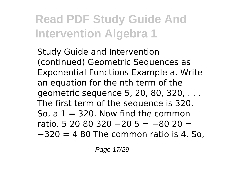Study Guide and Intervention (continued) Geometric Sequences as Exponential Functions Example a. Write an equation for the nth term of the geometric sequence 5, 20, 80, 320, . . . The first term of the sequence is 320. So, a  $1 = 320$ . Now find the common ratio. 5 20 80 320 −20 5 = −80 20 = −320 = 4 80 The common ratio is 4. So,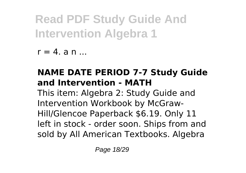$r = 4$ . a n  $\ldots$ 

### **NAME DATE PERIOD 7-7 Study Guide and Intervention - MATH**

This item: Algebra 2: Study Guide and Intervention Workbook by McGraw-Hill/Glencoe Paperback \$6.19. Only 11 left in stock - order soon. Ships from and sold by All American Textbooks. Algebra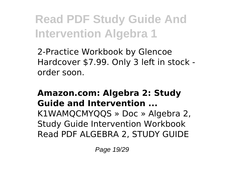2-Practice Workbook by Glencoe Hardcover \$7.99. Only 3 left in stock order soon.

#### **Amazon.com: Algebra 2: Study Guide and Intervention ...**

K1WAMQCMYQQS » Doc » Algebra 2, Study Guide Intervention Workbook Read PDF ALGEBRA 2, STUDY GUIDE

Page 19/29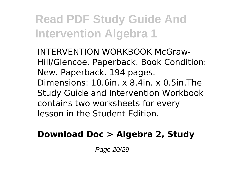INTERVENTION WORKBOOK McGraw-Hill/Glencoe. Paperback. Book Condition: New. Paperback. 194 pages. Dimensions: 10.6in. x 8.4in. x 0.5in.The Study Guide and Intervention Workbook contains two worksheets for every lesson in the Student Edition.

#### **Download Doc > Algebra 2, Study**

Page 20/29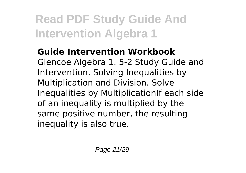**Guide Intervention Workbook** Glencoe Algebra 1. 5-2 Study Guide and Intervention. Solving Inequalities by Multiplication and Division. Solve Inequalities by MultiplicationIf each side of an inequality is multiplied by the same positive number, the resulting inequality is also true.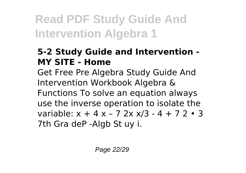#### **5-2 Study Guide and Intervention - MY SITE - Home**

Get Free Pre Algebra Study Guide And Intervention Workbook Algebra & Functions To solve an equation always use the inverse operation to isolate the variable:  $x + 4x - 72xx/3 - 4 + 72 \cdot 3$ 7th Gra deP -Algb St uy i.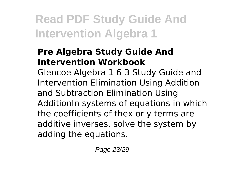#### **Pre Algebra Study Guide And Intervention Workbook**

Glencoe Algebra 1 6-3 Study Guide and Intervention Elimination Using Addition and Subtraction Elimination Using AdditionIn systems of equations in which the coefficients of thex or y terms are additive inverses, solve the system by adding the equations.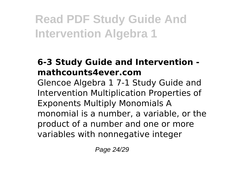#### **6-3 Study Guide and Intervention mathcounts4ever.com**

Glencoe Algebra 1 7-1 Study Guide and Intervention Multiplication Properties of Exponents Multiply Monomials A monomial is a number, a variable, or the product of a number and one or more variables with nonnegative integer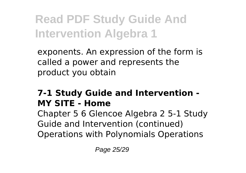exponents. An expression of the form is called a power and represents the product you obtain

#### **7-1 Study Guide and Intervention - MY SITE - Home**

Chapter 5 6 Glencoe Algebra 2 5-1 Study Guide and Intervention (continued) Operations with Polynomials Operations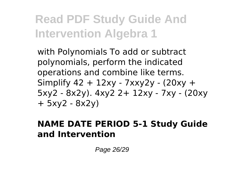with Polynomials To add or subtract polynomials, perform the indicated operations and combine like terms. Simplify 42 + 12xy - 7xxy2y - (20xy + 5xy2 - 8x2y). 4xy2 2+ 12xy - 7xy - (20xy + 5xy2 - 8x2y)

#### **NAME DATE PERIOD 5-1 Study Guide and Intervention**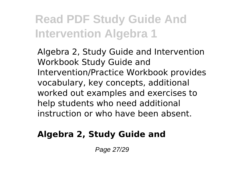Algebra 2, Study Guide and Intervention Workbook Study Guide and Intervention/Practice Workbook provides vocabulary, key concepts, additional worked out examples and exercises to help students who need additional instruction or who have been absent.

#### **Algebra 2, Study Guide and**

Page 27/29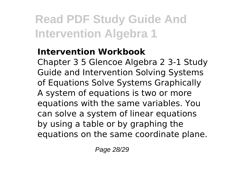#### **Intervention Workbook**

Chapter 3 5 Glencoe Algebra 2 3-1 Study Guide and Intervention Solving Systems of Equations Solve Systems Graphically A system of equations is two or more equations with the same variables. You can solve a system of linear equations by using a table or by graphing the equations on the same coordinate plane.